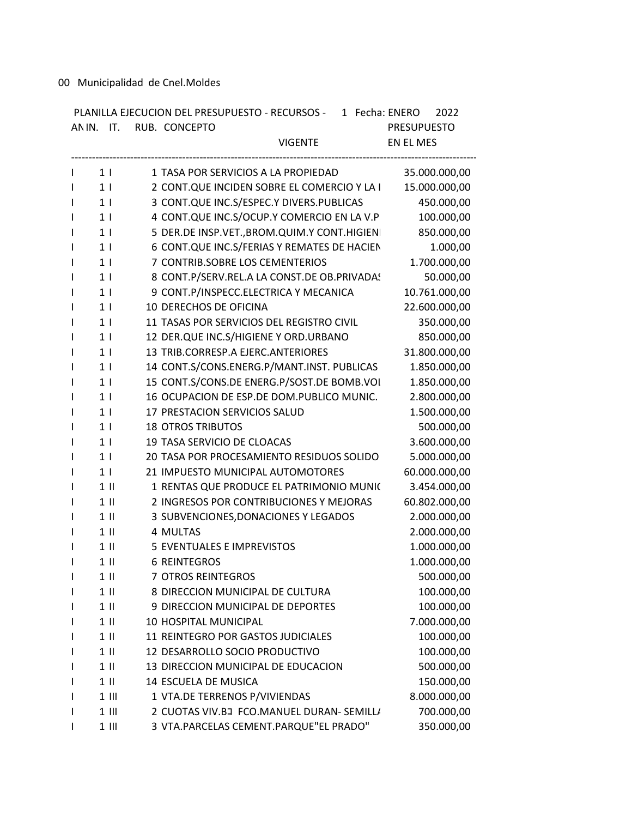00 Municipalidad de Cnel.Moldes

|                | PLANILLA EJECUCION DEL PRESUPUESTO - RECURSOS - 1 Fecha: ENERO<br>ANIN. IT. RUB. CONCEPTO | 2022<br><b>PRESUPUESTO</b> |
|----------------|-------------------------------------------------------------------------------------------|----------------------------|
|                | <b>VIGENTE</b>                                                                            | EN EL MES                  |
| $1 \mid$       | 1 TASA POR SERVICIOS A LA PROPIEDAD                                                       | 35.000.000,00              |
| $1 \mid$       | 2 CONT.QUE INCIDEN SOBRE EL COMERCIO Y LA I                                               | 15.000.000,00              |
| 1 <sub>1</sub> | 3 CONT.QUE INC.S/ESPEC.Y DIVERS.PUBLICAS                                                  | 450.000,00                 |
| 1 <sub>1</sub> | 4 CONT.QUE INC.S/OCUP.Y COMERCIO EN LA V.P                                                | 100.000,00                 |
| 1 <sub>1</sub> | 5 DER.DE INSP.VET., BROM.QUIM.Y CONT.HIGIENI                                              | 850.000,00                 |
| 1 <sub>1</sub> | 6 CONT.QUE INC.S/FERIAS Y REMATES DE HACIEN                                               | 1.000,00                   |
| 1 <sub>1</sub> | 7 CONTRIB.SOBRE LOS CEMENTERIOS                                                           | 1.700.000,00               |
| 1 <sup>1</sup> | 8 CONT.P/SERV.REL.A LA CONST.DE OB.PRIVADAS                                               | 50.000,00                  |
| 1 <sub>1</sub> | 9 CONT.P/INSPECC.ELECTRICA Y MECANICA                                                     | 10.761.000,00              |
| 1 <sup>1</sup> | 10 DERECHOS DE OFICINA                                                                    | 22.600.000,00              |
| 1 <sub>1</sub> | 11 TASAS POR SERVICIOS DEL REGISTRO CIVIL                                                 | 350.000,00                 |
| 1 <sup>1</sup> | 12 DER.QUE INC.S/HIGIENE Y ORD.URBANO                                                     | 850.000,00                 |
| 1 <sup>1</sup> | 13 TRIB.CORRESP.A EJERC.ANTERIORES                                                        | 31.800.000,00              |
| 1 <sub>1</sub> | 14 CONT.S/CONS.ENERG.P/MANT.INST. PUBLICAS                                                | 1.850.000,00               |
| 1 <sub>1</sub> | 15 CONT.S/CONS.DE ENERG.P/SOST.DE BOMB.VOL                                                | 1.850.000,00               |
| 1 <sub>1</sub> | 16 OCUPACION DE ESP.DE DOM.PUBLICO MUNIC.                                                 | 2.800.000,00               |
| 1 <sup>1</sup> | 17 PRESTACION SERVICIOS SALUD                                                             | 1.500.000,00               |
| 1 <sup>1</sup> | <b>18 OTROS TRIBUTOS</b>                                                                  | 500.000,00                 |
| 1 <sup>1</sup> | 19 TASA SERVICIO DE CLOACAS                                                               | 3.600.000,00               |
| 1 <sub>1</sub> | 20 TASA POR PROCESAMIENTO RESIDUOS SOLIDO                                                 | 5.000.000,00               |
| 1 <sup>1</sup> | 21 IMPUESTO MUNICIPAL AUTOMOTORES                                                         | 60.000.000,00              |
| $1$ II         | 1 RENTAS QUE PRODUCE EL PATRIMONIO MUNIC                                                  | 3.454.000,00               |
| $1$ II         | 2 INGRESOS POR CONTRIBUCIONES Y MEJORAS                                                   | 60.802.000,00              |
| $1$ II         | 3 SUBVENCIONES, DONACIONES Y LEGADOS                                                      | 2.000.000,00               |
| $1$ II         | 4 MULTAS                                                                                  | 2.000.000,00               |
| $1$ II         | <b>5 EVENTUALES E IMPREVISTOS</b>                                                         | 1.000.000,00               |
| $1 \parallel$  | <b>6 REINTEGROS</b>                                                                       | 1.000.000,00               |
| $1$ II         | 7 OTROS REINTEGROS                                                                        | 500.000,00                 |
| $1$ II         | 8 DIRECCION MUNICIPAL DE CULTURA                                                          | 100.000,00                 |
| $1$ II         | 9 DIRECCION MUNICIPAL DE DEPORTES                                                         | 100.000,00                 |
| $1$ II         | 10 HOSPITAL MUNICIPAL                                                                     | 7.000.000,00               |
| $1$ II         | 11 REINTEGRO POR GASTOS JUDICIALES                                                        | 100.000,00                 |
| $1$ II         | 12 DESARROLLO SOCIO PRODUCTIVO                                                            | 100.000,00                 |
| $1$ II         | 13 DIRECCION MUNICIPAL DE EDUCACION                                                       | 500.000,00                 |
| $1$ II         | 14 ESCUELA DE MUSICA                                                                      | 150.000,00                 |
| $1$ III        | 1 VTA.DE TERRENOS P/VIVIENDAS                                                             | 8.000.000,00               |
| $1$ III        | 2 CUOTAS VIV.BJ FCO.MANUEL DURAN- SEMILL/                                                 | 700.000,00                 |
| $1$ III        | 3 VTA.PARCELAS CEMENT.PARQUE"EL PRADO"                                                    | 350.000,00                 |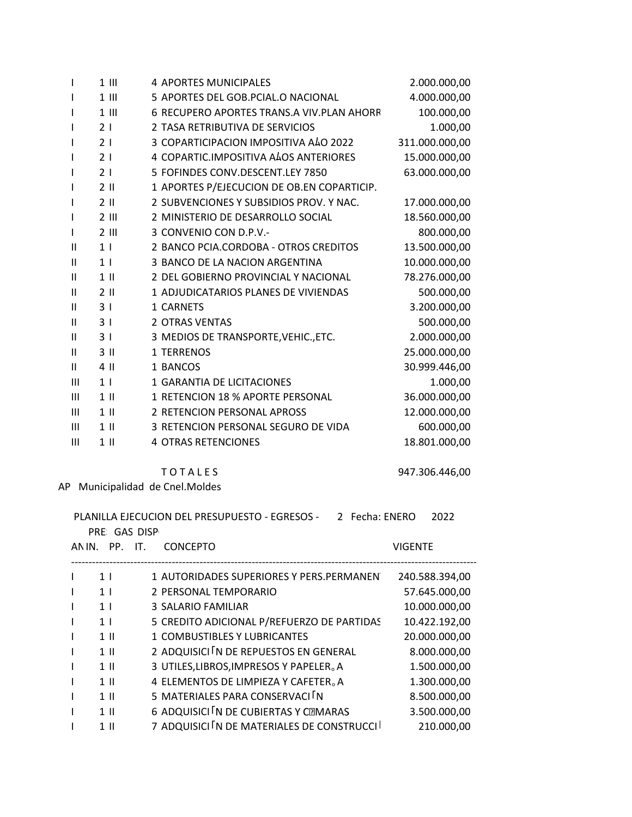| $\mathbf{I}$   | $1$ III        | <b>4 APORTES MUNICIPALES</b>               | 2.000.000,00   |
|----------------|----------------|--------------------------------------------|----------------|
| I.             | $1$ III        | 5 APORTES DEL GOB.PCIAL.O NACIONAL         | 4.000.000,00   |
| L              | $1$ III        | 6 RECUPERO APORTES TRANS.A VIV.PLAN AHORR  | 100.000,00     |
| I.             | 21             | 2 TASA RETRIBUTIVA DE SERVICIOS            | 1.000,00       |
| I              | 21             | 3 COPARTICIPACION IMPOSITIVA ALO 2022      | 311.000.000,00 |
| L              | 21             | 4 COPARTIC.IMPOSITIVA ALOS ANTERIORES      | 15.000.000,00  |
| I.             | 21             | 5 FOFINDES CONV.DESCENT.LEY 7850           | 63.000.000,00  |
| I.             | $2 \parallel$  | 1 APORTES P/EJECUCION DE OB.EN COPARTICIP. |                |
| I.             | $2$ II         | 2 SUBVENCIONES Y SUBSIDIOS PROV. Y NAC.    | 17.000.000,00  |
| I.             | $2$ III        | 2 MINISTERIO DE DESARROLLO SOCIAL          | 18.560.000,00  |
| L              | $2$ III        | 3 CONVENIO CON D.P.V.-                     | 800.000,00     |
| $\mathbf{I}$   | 1 <sub>1</sub> | 2 BANCO PCIA.CORDOBA - OTROS CREDITOS      | 13.500.000,00  |
| $\mathbf{H}$   | 1 <sub>1</sub> | 3 BANCO DE LA NACION ARGENTINA             | 10.000.000,00  |
| Ш              | $1$ II         | 2 DEL GOBIERNO PROVINCIAL Y NACIONAL       | 78.276.000,00  |
| Ш              | $2$ II         | 1 ADJUDICATARIOS PLANES DE VIVIENDAS       | 500.000,00     |
| $\mathbf{H}$   | 3 <sub>1</sub> | 1 CARNETS                                  | 3.200.000,00   |
| $\mathbf{H}$   | 31             | <b>2 OTRAS VENTAS</b>                      | 500.000,00     |
| Ш              | 3 <sub>1</sub> | 3 MEDIOS DE TRANSPORTE, VEHIC., ETC.       | 2.000.000,00   |
| Ш              | $3$ II         | 1 TERRENOS                                 | 25.000.000,00  |
| Ш              | 4 II           | 1 BANCOS                                   | 30.999.446,00  |
| Ш              | 1 <sub>1</sub> | 1 GARANTIA DE LICITACIONES                 | 1.000,00       |
| $\mathbf{H}$   | $1$ II         | 1 RETENCION 18 % APORTE PERSONAL           | 36.000.000,00  |
| Ш              | $1$ II         | 2 RETENCION PERSONAL APROSS                | 12.000.000,00  |
| $\mathbf{III}$ | $1$ II         | 3 RETENCION PERSONAL SEGURO DE VIDA        | 600.000,00     |
| $\mathbf{III}$ | $1$ II         | <b>4 OTRAS RETENCIONES</b>                 | 18.801.000,00  |
|                |                |                                            |                |

**TOTALES** 

947.306.446,00

AP Municipalidad de Cnel.Moldes

PLANILLA EJECUCION DEL PRESUPUESTO - EGRESOS - 2 Fecha: ENERO 2022 PRE: GAS DISP ANIN. PP. IT. CONCEPTO **VIGENTE** 

| 1 <sup>1</sup> | 1 AUTORIDADES SUPERIORES Y PERS.PERMANEN   | 240.588.394,00 |
|----------------|--------------------------------------------|----------------|
| 1 <sup>1</sup> | 2 PERSONAL TEMPORARIO                      | 57.645.000,00  |
| 1 <sub>1</sub> | 3 SALARIO FAMILIAR                         | 10.000.000,00  |
| 1 <sup>1</sup> | 5 CREDITO ADICIONAL P/REFUERZO DE PARTIDAS | 10.422.192,00  |
| $1$ II         | <b>1 COMBUSTIBLES Y LUBRICANTES</b>        | 20.000.000,00  |
| $1$ II         | 2 ADQUISICI IN DE REPUESTOS EN GENERAL     | 8.000.000,00   |
| $1$ II         | 3 UTILES, LIBROS, IMPRESOS Y PAPELER. A    | 1.500.000,00   |
| $1$ II         | 4 ELEMENTOS DE LIMPIEZA Y CAFETER. A       | 1.300.000,00   |
| $1$ II         | 5 MATERIALES PARA CONSERVACI N             | 8.500.000,00   |
| $1$ II         | 6 ADQUISICI IN DE CUBIERTAS Y CEMARAS      | 3.500.000,00   |
| $1$ II         | 7 ADQUISICI IN DE MATERIALES DE CONSTRUCCI | 210.000,00     |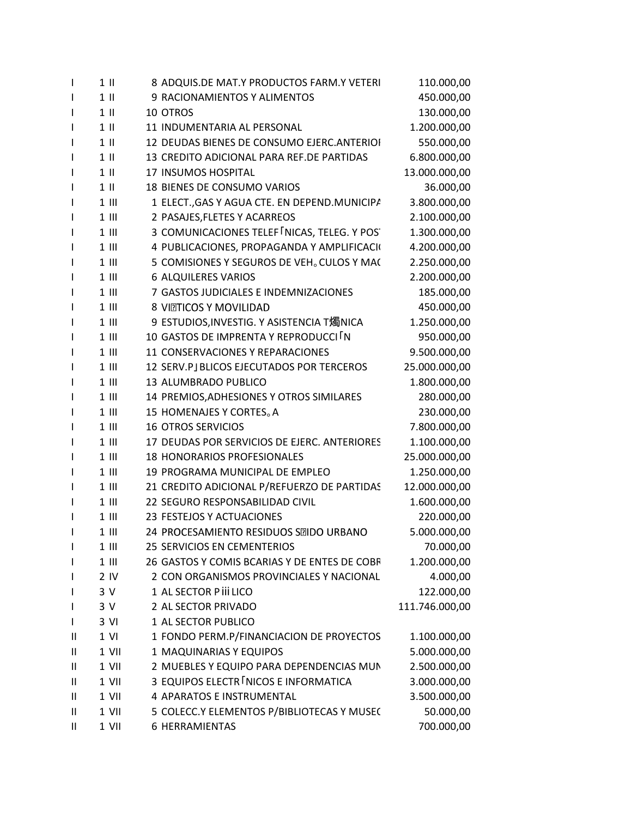| $\mathbf{I}$ | $1$ II          | 8 ADQUIS.DE MAT.Y PRODUCTOS FARM.Y VETERI              | 110.000,00     |
|--------------|-----------------|--------------------------------------------------------|----------------|
| $\mathbf{I}$ | $1$ II          | 9 RACIONAMIENTOS Y ALIMENTOS                           | 450.000,00     |
| $\mathbf{I}$ | $1$ II          | 10 OTROS                                               | 130.000,00     |
| L            | $1$ II          | 11 INDUMENTARIA AL PERSONAL                            | 1.200.000,00   |
| $\mathbf{I}$ | $1$ II          | 12 DEUDAS BIENES DE CONSUMO EJERC. ANTERIOI            | 550.000,00     |
| $\mathbf{I}$ | $1$ II          | 13 CREDITO ADICIONAL PARA REF.DE PARTIDAS              | 6.800.000,00   |
| $\mathbf{I}$ | $1$ II          | 17 INSUMOS HOSPITAL                                    | 13.000.000,00  |
| $\mathbf{I}$ | $1$ II          | 18 BIENES DE CONSUMO VARIOS                            | 36.000,00      |
| I.           | $1$ III         | 1 ELECT., GAS Y AGUA CTE. EN DEPEND. MUNICIPA          | 3.800.000,00   |
| $\mathbf{I}$ | $1$ III         | 2 PASAJES, FLETES Y ACARREOS                           | 2.100.000,00   |
| I.           | $1$ III         | 3 COMUNICACIONES TELEF INICAS, TELEG. Y POS            | 1.300.000,00   |
| $\mathbf{I}$ | $1$ $\parallel$ | 4 PUBLICACIONES, PROPAGANDA Y AMPLIFICACIO             | 4.200.000,00   |
| I.           | $1$ III         | 5 COMISIONES Y SEGUROS DE VEH <sub>o</sub> CULOS Y MA( | 2.250.000,00   |
| I.           | $1$ III         | <b>6 ALQUILERES VARIOS</b>                             | 2.200.000,00   |
| $\mathbf{I}$ | $1$ III         | 7 GASTOS JUDICIALES E INDEMNIZACIONES                  | 185.000,00     |
| I.           | $1$ III         | 8 VIZTICOS Y MOVILIDAD                                 | 450.000,00     |
| $\mathbf{I}$ | $1$ $\parallel$ | 9 ESTUDIOS, INVESTIG. Y ASISTENCIA T燭NICA              | 1.250.000,00   |
| I.           | $1$ III         | 10 GASTOS DE IMPRENTA Y REPRODUCCI IN                  | 950.000,00     |
| $\mathbf{I}$ | $1$ III         | 11 CONSERVACIONES Y REPARACIONES                       | 9.500.000,00   |
| $\mathbf{I}$ | $1$ III         | 12 SERV.PJ BLICOS EJECUTADOS POR TERCEROS              | 25.000.000,00  |
| I.           | $1$ III         | 13 ALUMBRADO PUBLICO                                   | 1.800.000,00   |
| $\mathbf{I}$ | $1$ $\parallel$ | 14 PREMIOS, ADHESIONES Y OTROS SIMILARES               | 280.000,00     |
| L            | $1$ III         | 15 HOMENAJES Y CORTES <sub>o</sub> A                   | 230.000,00     |
| $\mathbf{I}$ | $1$ III         | <b>16 OTROS SERVICIOS</b>                              | 7.800.000,00   |
| $\mathbf{I}$ | $1$ III         | 17 DEUDAS POR SERVICIOS DE EJERC. ANTERIORES           | 1.100.000,00   |
| $\mathbf{I}$ | $1$ III         | <b>18 HONORARIOS PROFESIONALES</b>                     | 25.000.000,00  |
| $\mathbf{I}$ | $1$ III         | 19 PROGRAMA MUNICIPAL DE EMPLEO                        | 1.250.000,00   |
| I.           | $1$ $\parallel$ | 21 CREDITO ADICIONAL P/REFUERZO DE PARTIDAS            | 12.000.000,00  |
| $\mathbf{I}$ | $1$ III         | 22 SEGURO RESPONSABILIDAD CIVIL                        | 1.600.000,00   |
| $\mathbf{I}$ | $1$ III         | 23 FESTEJOS Y ACTUACIONES                              | 220.000,00     |
| I            | $1$ $\parallel$ | 24 PROCESAMIENTO RESIDUOS SEIDO URBANO                 | 5.000.000,00   |
| $\mathbf{I}$ | 1 III           | <b>25 SERVICIOS EN CEMENTERIOS</b>                     | 70.000,00      |
| I.           | $1$ $\parallel$ | 26 GASTOS Y COMIS BCARIAS Y DE ENTES DE COBR           | 1.200.000,00   |
| L            | 2 IV            | 2 CON ORGANISMOS PROVINCIALES Y NACIONAL               | 4.000,00       |
| L            | 3 V             | 1 AL SECTOR P iii LICO                                 | 122.000,00     |
| T            | 3 V             | 2 AL SECTOR PRIVADO                                    | 111.746.000,00 |
| $\mathbf{I}$ | 3 VI            | 1 AL SECTOR PUBLICO                                    |                |
| Ш            | $1$ VI          | 1 FONDO PERM.P/FINANCIACION DE PROYECTOS               | 1.100.000,00   |
| Ш            | 1 VII           | 1 MAQUINARIAS Y EQUIPOS                                | 5.000.000,00   |
| Ш            | 1 VII           | 2 MUEBLES Y EQUIPO PARA DEPENDENCIAS MUN               | 2.500.000,00   |
| Ш            | 1 VII           | 3 EQUIPOS ELECTR INICOS E INFORMATICA                  | 3.000.000,00   |
| Ш            | 1 VII           | 4 APARATOS E INSTRUMENTAL                              | 3.500.000,00   |
| Ш            | 1 VII           | 5 COLECC.Y ELEMENTOS P/BIBLIOTECAS Y MUSEC             | 50.000,00      |
| Ш            | 1 VII           | <b>6 HERRAMIENTAS</b>                                  | 700.000,00     |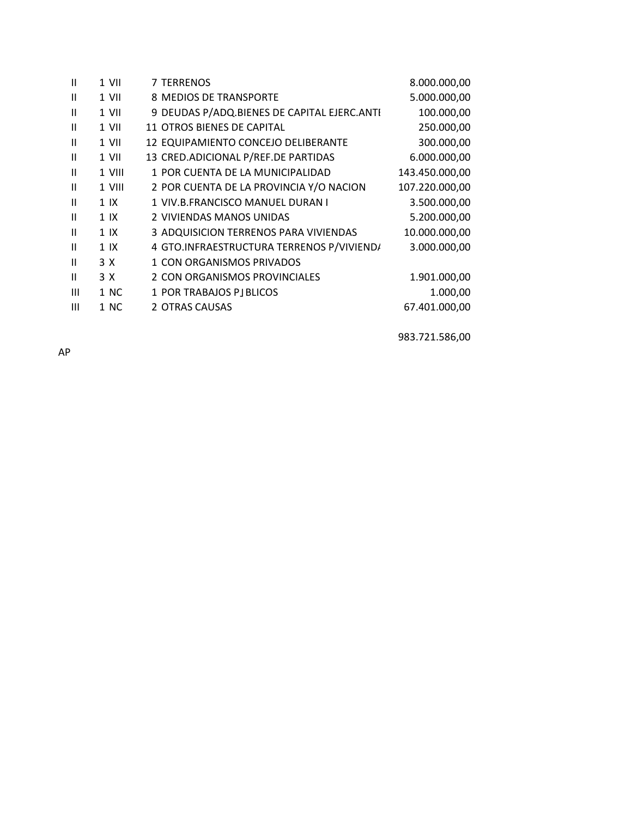| Ш              | 1 VII          | <b>7 TERRENOS</b>                           | 8.000.000,00   |
|----------------|----------------|---------------------------------------------|----------------|
| Ш              | 1 VII          | 8 MEDIOS DE TRANSPORTE                      | 5.000.000,00   |
| $\mathbf{H}$   | 1 VII          | 9 DEUDAS P/ADQ.BIENES DE CAPITAL EJERC.ANTI | 100.000,00     |
| $\mathbf{H}$   | 1 VII          | 11 OTROS BIENES DE CAPITAL                  | 250.000,00     |
| Ш              | 1 VII          | 12 EQUIPAMIENTO CONCEJO DELIBERANTE         | 300.000,00     |
| $\mathbf{H}$   | 1 VII          | 13 CRED.ADICIONAL P/REF.DE PARTIDAS         | 6.000.000,00   |
| $\mathbf{H}$   | 1 VIII         | 1 POR CUENTA DE LA MUNICIPALIDAD            | 143.450.000,00 |
| $\mathbf{H}$   | 1 VIII         | 2 POR CUENTA DE LA PROVINCIA Y/O NACION     | 107.220.000,00 |
| $\mathbf{H}$   | 1 <sup>1</sup> | 1 VIV.B.FRANCISCO MANUEL DURAN I            | 3.500.000,00   |
| $\mathbf{H}$   | 1 <sup>1</sup> | 2 VIVIENDAS MANOS UNIDAS                    | 5.200.000,00   |
| $\mathbf{H}$   | 1 <sup>1</sup> | 3 ADQUISICION TERRENOS PARA VIVIENDAS       | 10.000.000,00  |
| $\mathbf{H}$   | 1 <sub>1</sub> | 4 GTO.INFRAESTRUCTURA TERRENOS P/VIVIEND/   | 3.000.000,00   |
| $\mathbf{H}$   | 3 X            | 1 CON ORGANISMOS PRIVADOS                   |                |
| $\mathbf{H}$   | 3 X            | 2 CON ORGANISMOS PROVINCIALES               | 1.901.000,00   |
| $\mathbf{III}$ | 1 NC           | 1 POR TRABAJOS PJ BLICOS                    | 1.000,00       |
| Ш              | 1 NC           | 2 OTRAS CAUSAS                              | 67.401.000,00  |
|                |                |                                             |                |

983.721.586,00

AP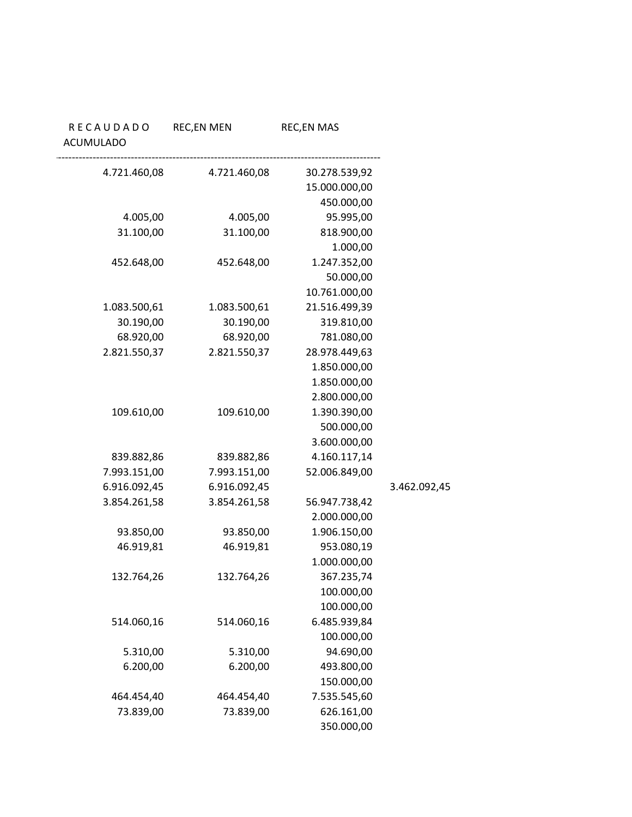|              | <b>REC,EN MAS</b> | <b>REC,EN MEN</b> | RECAUDADO<br><b>ACUMULADO</b> |
|--------------|-------------------|-------------------|-------------------------------|
|              | 30.278.539,92     | 4.721.460,08      | 4.721.460,08                  |
|              | 15.000.000,00     |                   |                               |
|              | 450.000,00        |                   |                               |
|              | 95.995,00         | 4.005,00          | 4.005,00                      |
|              | 818.900,00        | 31.100,00         | 31.100,00                     |
|              | 1.000,00          |                   |                               |
|              | 1.247.352,00      | 452.648,00        | 452.648,00                    |
|              | 50.000,00         |                   |                               |
|              | 10.761.000,00     |                   |                               |
|              | 21.516.499,39     | 1.083.500,61      | 1.083.500,61                  |
|              | 319.810,00        | 30.190,00         | 30.190,00                     |
|              | 781.080,00        | 68.920,00         | 68.920,00                     |
|              | 28.978.449,63     | 2.821.550,37      | 2.821.550,37                  |
|              | 1.850.000,00      |                   |                               |
|              | 1.850.000,00      |                   |                               |
|              | 2.800.000,00      |                   |                               |
|              | 1.390.390,00      | 109.610,00        | 109.610,00                    |
|              | 500.000,00        |                   |                               |
|              | 3.600.000,00      |                   |                               |
|              | 4.160.117,14      | 839.882,86        | 839.882,86                    |
|              | 52.006.849,00     | 7.993.151,00      | 7.993.151,00                  |
| 3.462.092,45 |                   | 6.916.092,45      | 6.916.092,45                  |
|              | 56.947.738,42     | 3.854.261,58      | 3.854.261,58                  |
|              | 2.000.000,00      |                   |                               |
|              | 1.906.150,00      | 93.850,00         | 93.850,00                     |
|              | 953.080,19        | 46.919,81         | 46.919,81                     |
|              | 1.000.000,00      |                   |                               |
|              | 367.235,74        | 132.764,26        | 132.764,26                    |
|              | 100.000,00        |                   |                               |
|              | 100.000,00        |                   |                               |
|              | 6.485.939,84      | 514.060,16        | 514.060,16                    |
|              | 100.000,00        |                   |                               |
|              | 94.690,00         | 5.310,00          | 5.310,00                      |
|              | 493.800,00        | 6.200,00          | 6.200,00                      |
|              | 150.000,00        |                   |                               |
|              | 7.535.545,60      | 464.454,40        | 464.454,40                    |
|              | 626.161,00        | 73.839,00         | 73.839,00                     |
|              | 350.000,00        |                   |                               |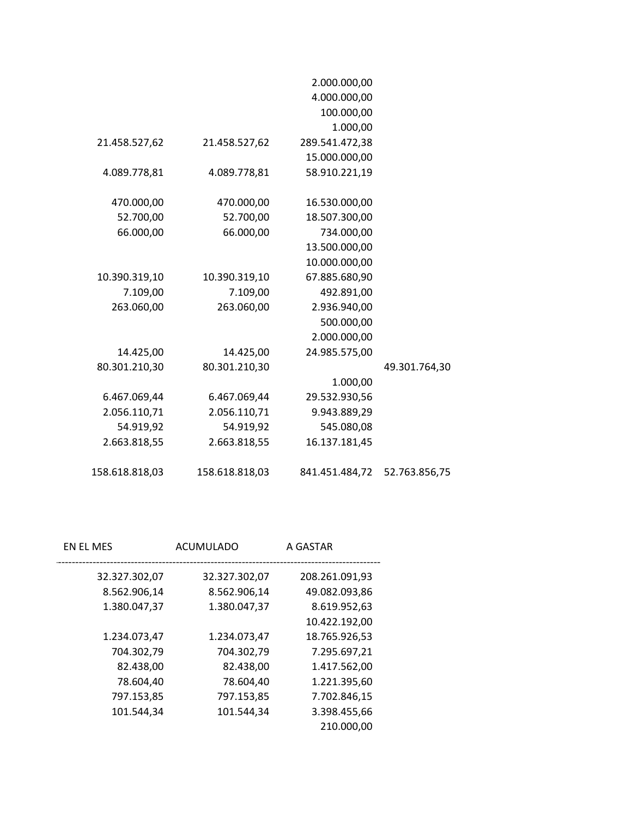|                |                | 2.000.000,00   |               |
|----------------|----------------|----------------|---------------|
|                |                | 4.000.000,00   |               |
|                |                | 100.000,00     |               |
|                |                | 1.000,00       |               |
| 21.458.527,62  | 21.458.527,62  | 289.541.472,38 |               |
|                |                | 15.000.000,00  |               |
| 4.089.778,81   | 4.089.778,81   | 58.910.221,19  |               |
|                |                |                |               |
| 470.000,00     | 470.000,00     | 16.530.000,00  |               |
| 52.700,00      | 52.700,00      | 18.507.300,00  |               |
| 66.000,00      | 66.000,00      | 734.000,00     |               |
|                |                | 13.500.000,00  |               |
|                |                | 10.000.000,00  |               |
| 10.390.319,10  | 10.390.319,10  | 67.885.680,90  |               |
| 7.109,00       | 7.109,00       | 492.891,00     |               |
| 263.060,00     | 263.060,00     | 2.936.940,00   |               |
|                |                | 500.000,00     |               |
|                |                | 2.000.000,00   |               |
| 14.425,00      | 14.425,00      | 24.985.575,00  |               |
| 80.301.210,30  | 80.301.210,30  |                | 49.301.764,30 |
|                |                | 1.000,00       |               |
| 6.467.069,44   | 6.467.069,44   | 29.532.930,56  |               |
| 2.056.110,71   | 2.056.110,71   | 9.943.889,29   |               |
| 54.919,92      | 54.919,92      | 545.080,08     |               |
| 2.663.818,55   | 2.663.818,55   | 16.137.181,45  |               |
|                |                |                |               |
|                |                |                |               |
| 158.618.818,03 | 158.618.818,03 | 841.451.484,72 | 52.763.856,75 |

| EN EL MES     | ACUMULADO     | A GASTAR       |
|---------------|---------------|----------------|
| 32.327.302,07 | 32.327.302,07 | 208.261.091,93 |
| 8.562.906,14  | 8.562.906,14  | 49.082.093,86  |
| 1.380.047,37  | 1.380.047,37  | 8.619.952,63   |
|               |               | 10.422.192,00  |
| 1.234.073,47  | 1.234.073,47  | 18.765.926,53  |
| 704.302,79    | 704.302,79    | 7.295.697,21   |
| 82.438,00     | 82.438,00     | 1.417.562,00   |
| 78.604,40     | 78.604,40     | 1.221.395,60   |
| 797.153,85    | 797.153,85    | 7.702.846,15   |
| 101.544,34    | 101.544,34    | 3.398.455,66   |
|               |               | 210.000,00     |
|               |               |                |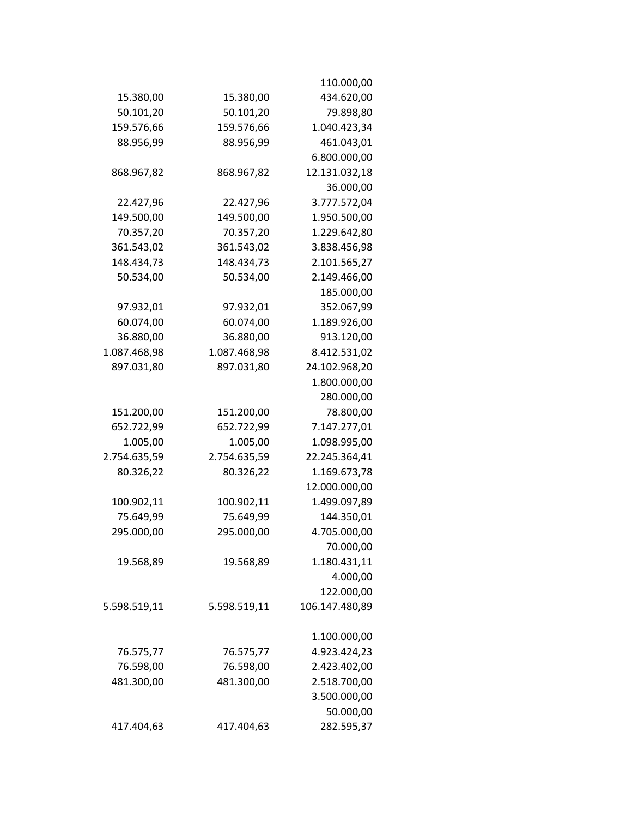|              |              | 110.000,00     |
|--------------|--------------|----------------|
| 15.380,00    | 15.380,00    | 434.620,00     |
| 50.101,20    | 50.101,20    | 79.898,80      |
| 159.576,66   | 159.576,66   | 1.040.423,34   |
| 88.956,99    | 88.956,99    | 461.043,01     |
|              |              | 6.800.000,00   |
| 868.967,82   | 868.967,82   | 12.131.032,18  |
|              |              | 36.000,00      |
| 22.427,96    | 22.427,96    | 3.777.572,04   |
| 149.500,00   | 149.500,00   | 1.950.500,00   |
| 70.357,20    | 70.357,20    | 1.229.642,80   |
| 361.543,02   | 361.543,02   | 3.838.456,98   |
| 148.434,73   | 148.434,73   | 2.101.565,27   |
| 50.534,00    | 50.534,00    | 2.149.466,00   |
|              |              | 185.000,00     |
| 97.932,01    | 97.932,01    | 352.067,99     |
| 60.074,00    | 60.074,00    | 1.189.926,00   |
| 36.880,00    | 36.880,00    | 913.120,00     |
| 1.087.468,98 | 1.087.468,98 | 8.412.531,02   |
| 897.031,80   | 897.031,80   | 24.102.968,20  |
|              |              | 1.800.000,00   |
|              |              | 280.000,00     |
| 151.200,00   | 151.200,00   | 78.800,00      |
| 652.722,99   | 652.722,99   | 7.147.277,01   |
| 1.005,00     | 1.005,00     | 1.098.995,00   |
| 2.754.635,59 | 2.754.635,59 | 22.245.364,41  |
| 80.326,22    | 80.326,22    | 1.169.673,78   |
|              |              | 12.000.000,00  |
| 100.902,11   | 100.902,11   | 1.499.097,89   |
| 75.649,99    | 75.649,99    | 144.350,01     |
| 295.000,00   | 295.000,00   | 4.705.000,00   |
|              |              | 70.000,00      |
| 19.568,89    | 19.568,89    | 1.180.431,11   |
|              |              | 4.000,00       |
|              |              | 122.000,00     |
| 5.598.519,11 | 5.598.519,11 | 106.147.480,89 |
|              |              | 1.100.000,00   |
| 76.575,77    | 76.575,77    | 4.923.424,23   |
| 76.598,00    | 76.598,00    | 2.423.402,00   |
| 481.300,00   | 481.300,00   | 2.518.700,00   |
|              |              | 3.500.000,00   |
|              |              | 50.000,00      |
| 417.404,63   | 417.404,63   | 282.595,37     |
|              |              |                |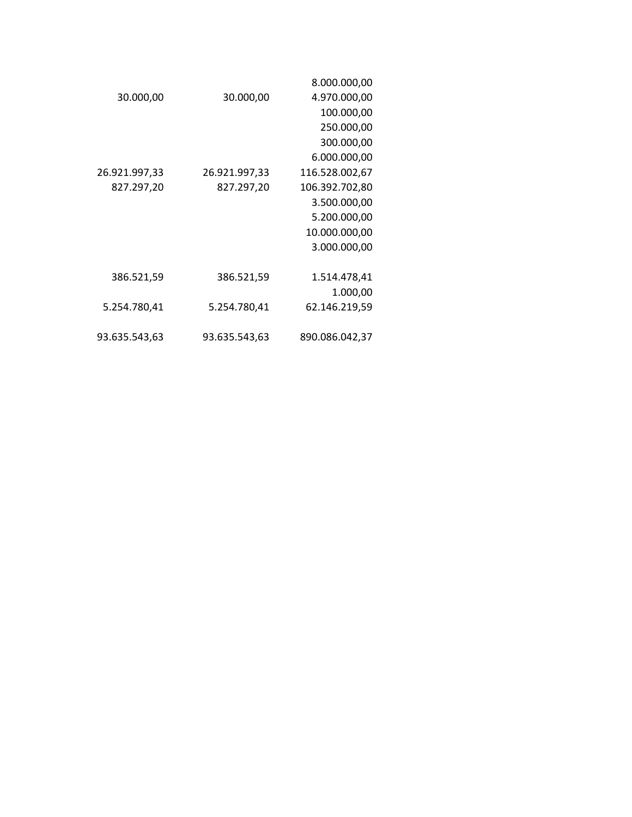|               |               | 8.000.000,00   |
|---------------|---------------|----------------|
| 30.000,00     | 30.000,00     | 4.970.000,00   |
|               |               | 100.000,00     |
|               |               | 250.000,00     |
|               |               | 300.000,00     |
|               |               | 6.000.000,00   |
| 26.921.997,33 | 26.921.997,33 | 116.528.002,67 |
| 827.297,20    | 827.297,20    | 106.392.702,80 |
|               |               | 3.500.000,00   |
|               |               | 5.200.000,00   |
|               |               | 10.000.000,00  |
|               |               | 3.000.000,00   |
|               |               |                |
| 386.521,59    | 386.521,59    | 1.514.478,41   |
|               |               | 1.000,00       |
| 5.254.780,41  | 5.254.780,41  | 62.146.219,59  |
|               |               |                |
| 93.635.543,63 | 93.635.543,63 | 890.086.042,37 |